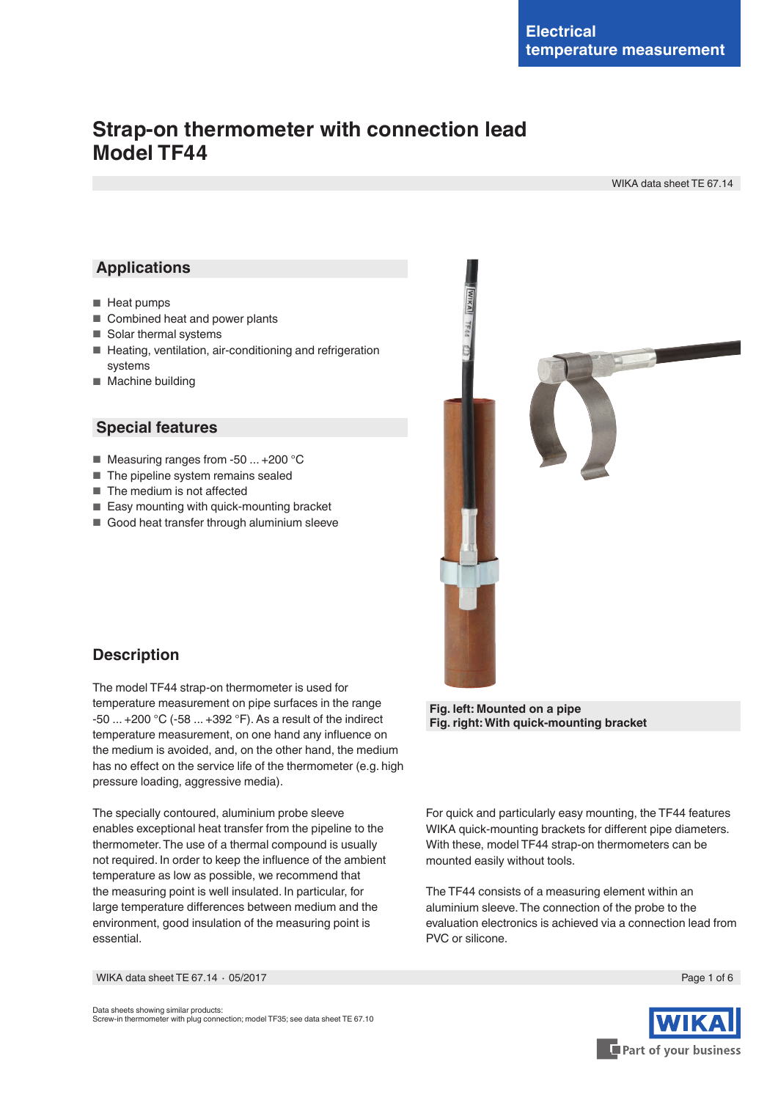# **Strap-on thermometer with connection lead Model TF44**

WIKA data sheet TE 67.14

### **Applications**

- Heat pumps
- Combined heat and power plants
- Solar thermal systems
- Heating, ventilation, air-conditioning and refrigeration systems
- Machine building

### **Special features**

- Measuring ranges from -50 ... +200 °C
- The pipeline system remains sealed
- The medium is not affected
- Easy mounting with quick-mounting bracket
- Good heat transfer through aluminium sleeve



### **Description**

The model TF44 strap-on thermometer is used for temperature measurement on pipe surfaces in the range -50 ... +200 °C (-58 ... +392 °F). As a result of the indirect temperature measurement, on one hand any influence on the medium is avoided, and, on the other hand, the medium has no effect on the service life of the thermometer (e.g. high pressure loading, aggressive media).

The specially contoured, aluminium probe sleeve enables exceptional heat transfer from the pipeline to the thermometer. The use of a thermal compound is usually not required. In order to keep the influence of the ambient temperature as low as possible, we recommend that the measuring point is well insulated. In particular, for large temperature differences between medium and the environment, good insulation of the measuring point is essential.

**Fig. right: With quick-mounting bracket**

For quick and particularly easy mounting, the TF44 features WIKA quick-mounting brackets for different pipe diameters. With these, model TF44 strap-on thermometers can be mounted easily without tools.

The TF44 consists of a measuring element within an aluminium sleeve. The connection of the probe to the evaluation electronics is achieved via a connection lead from PVC or silicone.

WIKA data sheet TE 67.14 ⋅ 05/2017 Page 1 of 6

Data sheets showing similar products: Screw-in thermometer with plug connection; model TF35; see data sheet TE 67.10

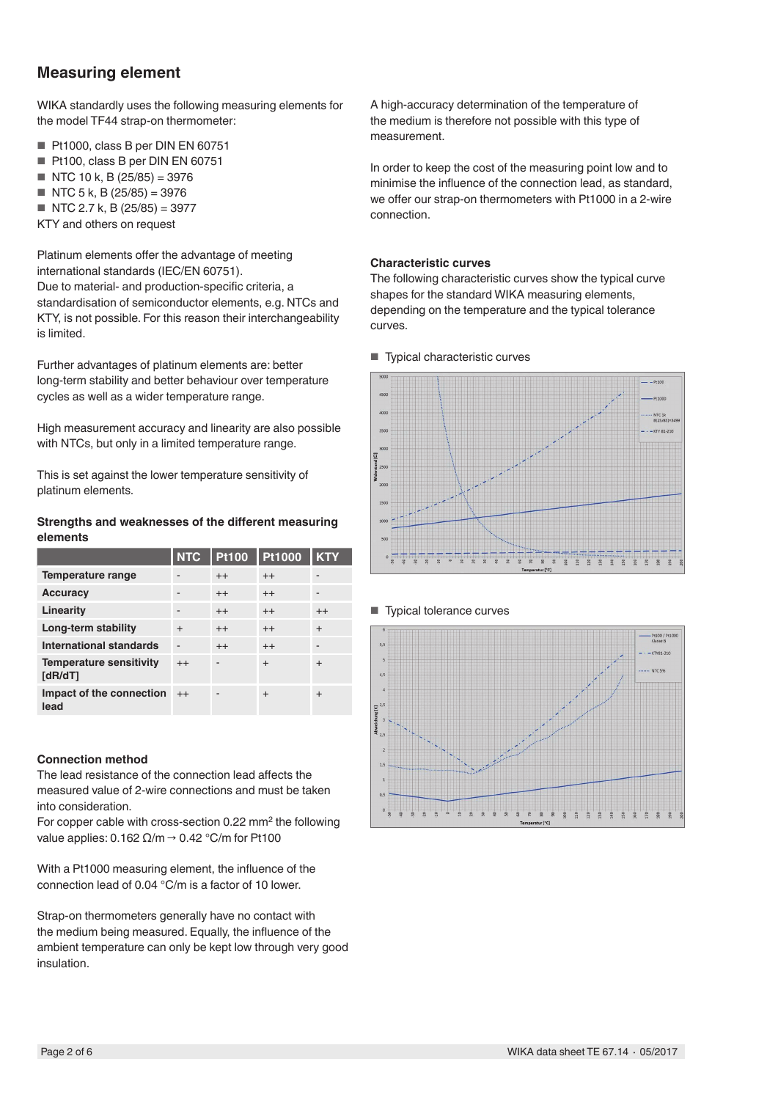# **Measuring element**

WIKA standardly uses the following measuring elements for the model TF44 strap-on thermometer:

- Pt1000, class B per DIN EN 60751
- Pt100, class B per DIN EN 60751
- $\blacksquare$  NTC 10 k, B (25/85) = 3976
- $\blacksquare$  NTC 5 k, B (25/85) = 3976
- $\blacksquare$  NTC 2.7 k, B (25/85) = 3977
- KTY and others on request

Platinum elements offer the advantage of meeting international standards (IEC/EN 60751). Due to material- and production-specific criteria, a standardisation of semiconductor elements, e.g. NTCs and KTY, is not possible. For this reason their interchangeability is limited.

Further advantages of platinum elements are: better long-term stability and better behaviour over temperature cycles as well as a wider temperature range.

High measurement accuracy and linearity are also possible with NTCs, but only in a limited temperature range.

This is set against the lower temperature sensitivity of platinum elements.

### **Strengths and weaknesses of the different measuring elements**

|                                           | <b>NTC</b> | <b>Pt100</b> | <b>Pt1000</b> | <b>KTY</b> |
|-------------------------------------------|------------|--------------|---------------|------------|
| Temperature range                         |            | $^{++}$      | $^{++}$       |            |
| <b>Accuracy</b>                           |            | $^{++}$      | $^{++}$       |            |
| Linearity                                 |            | $^{++}$      | $^{++}$       | $^{++}$    |
| Long-term stability                       | $\ddot{}$  | $^{++}$      | $^{++}$       | $\ddot{}$  |
| <b>International standards</b>            |            | $^{++}$      | $^{++}$       |            |
| <b>Temperature sensitivity</b><br>[dR/dT] | $++$       |              | $\ddot{}$     | $\div$     |
| Impact of the connection<br>lead          | $++$       |              | $\ddot{}$     | $\ddot{}$  |

### **Connection method**

The lead resistance of the connection lead affects the measured value of 2-wire connections and must be taken into consideration.

For copper cable with cross-section 0.22 mm<sup>2</sup> the following value applies:  $0.162 \Omega/m \rightarrow 0.42 \degree C/m$  for Pt100

With a Pt1000 measuring element, the influence of the connection lead of 0.04 °C/m is a factor of 10 lower.

Strap-on thermometers generally have no contact with the medium being measured. Equally, the influence of the ambient temperature can only be kept low through very good insulation.

A high-accuracy determination of the temperature of the medium is therefore not possible with this type of measurement.

In order to keep the cost of the measuring point low and to minimise the influence of the connection lead, as standard, we offer our strap-on thermometers with Pt1000 in a 2-wire connection.

### **Characteristic curves**

The following characteristic curves show the typical curve shapes for the standard WIKA measuring elements, depending on the temperature and the typical tolerance curves.

■ Typical characteristic curves



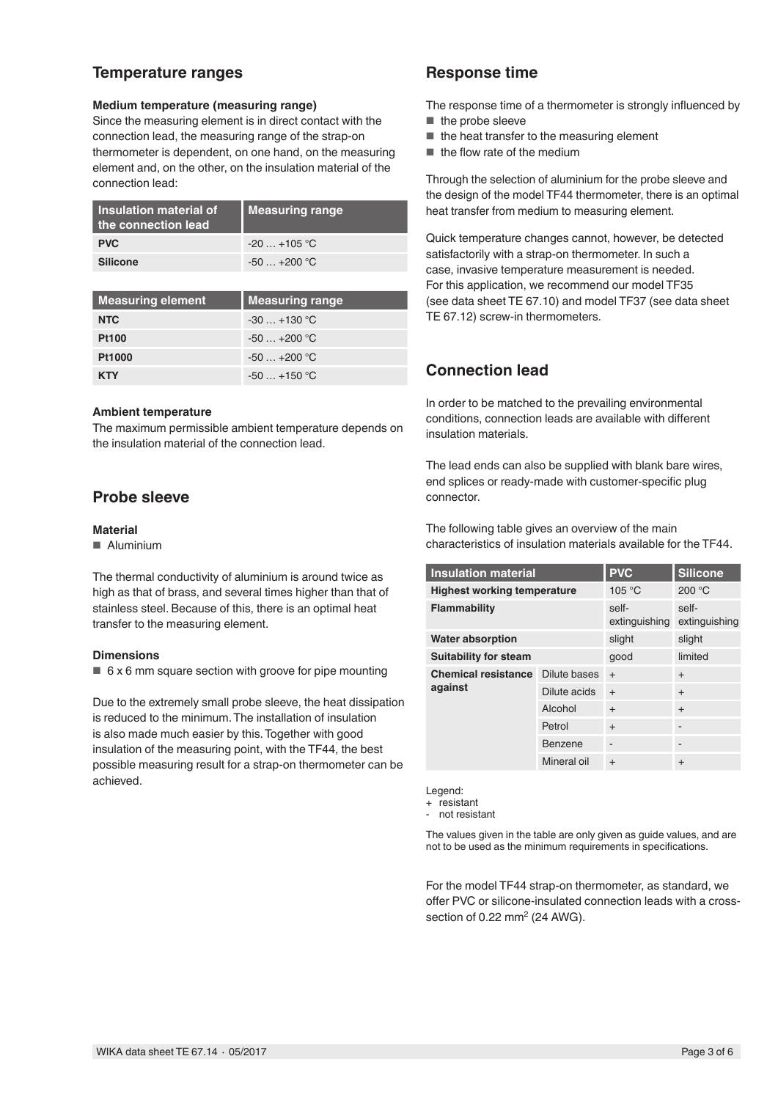## **Temperature ranges**

### **Medium temperature (measuring range)**

Since the measuring element is in direct contact with the connection lead, the measuring range of the strap-on thermometer is dependent, on one hand, on the measuring element and, on the other, on the insulation material of the connection lead:

| Insulation material of<br>the connection lead | Measuring range |
|-----------------------------------------------|-----------------|
| <b>PVC</b>                                    | $-20$ $+105$ °C |
| <b>Silicone</b>                               | $-50+200$ °C    |

| Measuring element | <b>Measuring range</b> |
|-------------------|------------------------|
| <b>NTC</b>        | $-30+130$ °C           |
| <b>Pt100</b>      | $-50+200$ °C           |
| Pt1000            | $-50$ $+200$ °C        |
| <b>KTY</b>        | $-50 - +150$ °C        |

#### **Ambient temperature**

The maximum permissible ambient temperature depends on the insulation material of the connection lead.

## **Probe sleeve**

#### **Material**

■ Aluminium

The thermal conductivity of aluminium is around twice as high as that of brass, and several times higher than that of stainless steel. Because of this, there is an optimal heat transfer to the measuring element.

#### **Dimensions**

 $\blacksquare$  6 x 6 mm square section with groove for pipe mounting

Due to the extremely small probe sleeve, the heat dissipation is reduced to the minimum. The installation of insulation is also made much easier by this. Together with good insulation of the measuring point, with the TF44, the best possible measuring result for a strap-on thermometer can be achieved.

## **Response time**

The response time of a thermometer is strongly influenced by ■ the probe sleeve

- 
- the heat transfer to the measuring element
- the flow rate of the medium

Through the selection of aluminium for the probe sleeve and the design of the model TF44 thermometer, there is an optimal heat transfer from medium to measuring element.

Quick temperature changes cannot, however, be detected satisfactorily with a strap-on thermometer. In such a case, invasive temperature measurement is needed. For this application, we recommend our model TF35 (see data sheet TE 67.10) and model TF37 (see data sheet TE 67.12) screw-in thermometers.

# **Connection lead**

In order to be matched to the prevailing environmental conditions, connection leads are available with different insulation materials.

The lead ends can also be supplied with blank bare wires, end splices or ready-made with customer-specific plug connector.

The following table gives an overview of the main characteristics of insulation materials available for the TF44.

| <b>Insulation material</b>            |              | <b>PVC</b>               | <b>Silicone</b>        |
|---------------------------------------|--------------|--------------------------|------------------------|
| <b>Highest working temperature</b>    |              | 105 °C                   | 200 °C                 |
| Flammability                          |              | self-<br>extinguishing   | self-<br>extinguishing |
| <b>Water absorption</b>               |              | slight                   | slight                 |
| <b>Suitability for steam</b>          |              | good                     | limited                |
| <b>Chemical resistance</b><br>against | Dilute bases | $+$                      | $^{+}$                 |
|                                       | Dilute acids | $+$                      | $^{+}$                 |
|                                       | Alcohol      | $\ddot{}$                | $^{+}$                 |
|                                       | Petrol       | $^{+}$                   |                        |
|                                       | Benzene      | $\overline{\phantom{a}}$ |                        |
|                                       | Mineral oil  | $\ddot{}$                | $\ddot{}$              |

Legend:

+ resistant

- not resistant

The values given in the table are only given as guide values, and are not to be used as the minimum requirements in specifications.

For the model TF44 strap-on thermometer, as standard, we offer PVC or silicone-insulated connection leads with a crosssection of  $0.22$  mm<sup>2</sup> (24 AWG).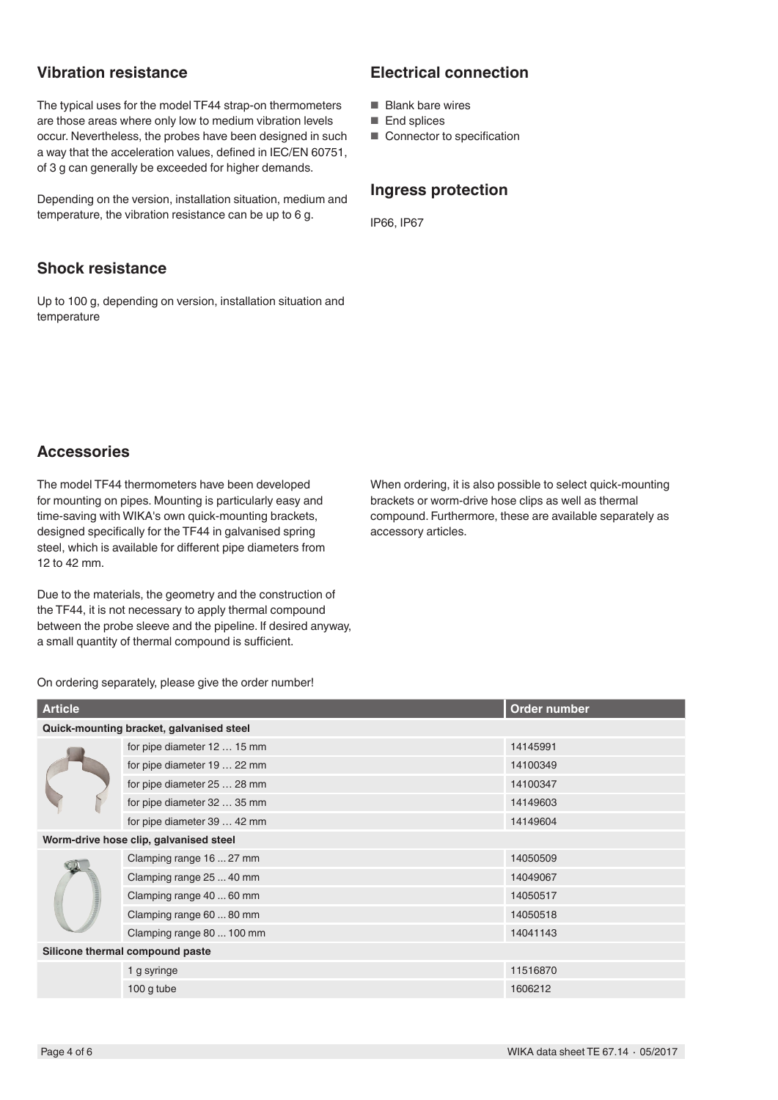## **Vibration resistance**

The typical uses for the model TF44 strap-on thermometers are those areas where only low to medium vibration levels occur. Nevertheless, the probes have been designed in such a way that the acceleration values, defined in IEC/EN 60751, of 3 g can generally be exceeded for higher demands.

Depending on the version, installation situation, medium and temperature, the vibration resistance can be up to 6 g.

## **Shock resistance**

Up to 100 g, depending on version, installation situation and temperature

# **Electrical connection**

- Blank bare wires
- End splices
- Connector to specification

### **Ingress protection**

IP66, IP67

### **Accessories**

The model TF44 thermometers have been developed for mounting on pipes. Mounting is particularly easy and time-saving with WIKA's own quick-mounting brackets, designed specifically for the TF44 in galvanised spring steel, which is available for different pipe diameters from 12 to 42 mm.

Due to the materials, the geometry and the construction of the TF44, it is not necessary to apply thermal compound between the probe sleeve and the pipeline. If desired anyway, a small quantity of thermal compound is sufficient.

When ordering, it is also possible to select quick-mounting brackets or worm-drive hose clips as well as thermal compound. Furthermore, these are available separately as accessory articles.

On ordering separately, please give the order number!

| <b>Article</b>                           |                             | Order number |  |  |
|------------------------------------------|-----------------------------|--------------|--|--|
| Quick-mounting bracket, galvanised steel |                             |              |  |  |
|                                          | for pipe diameter 12  15 mm | 14145991     |  |  |
|                                          | for pipe diameter 19  22 mm | 14100349     |  |  |
|                                          | for pipe diameter 25  28 mm | 14100347     |  |  |
|                                          | for pipe diameter 32  35 mm | 14149603     |  |  |
|                                          | for pipe diameter 39  42 mm | 14149604     |  |  |
| Worm-drive hose clip, galvanised steel   |                             |              |  |  |
|                                          | Clamping range 16  27 mm    | 14050509     |  |  |
|                                          | Clamping range 25  40 mm    | 14049067     |  |  |
|                                          | Clamping range 40  60 mm    | 14050517     |  |  |
|                                          | Clamping range 60  80 mm    | 14050518     |  |  |
|                                          | Clamping range 80  100 mm   | 14041143     |  |  |
| Silicone thermal compound paste          |                             |              |  |  |
|                                          | 1 g syringe                 | 11516870     |  |  |
|                                          | $100$ g tube                | 1606212      |  |  |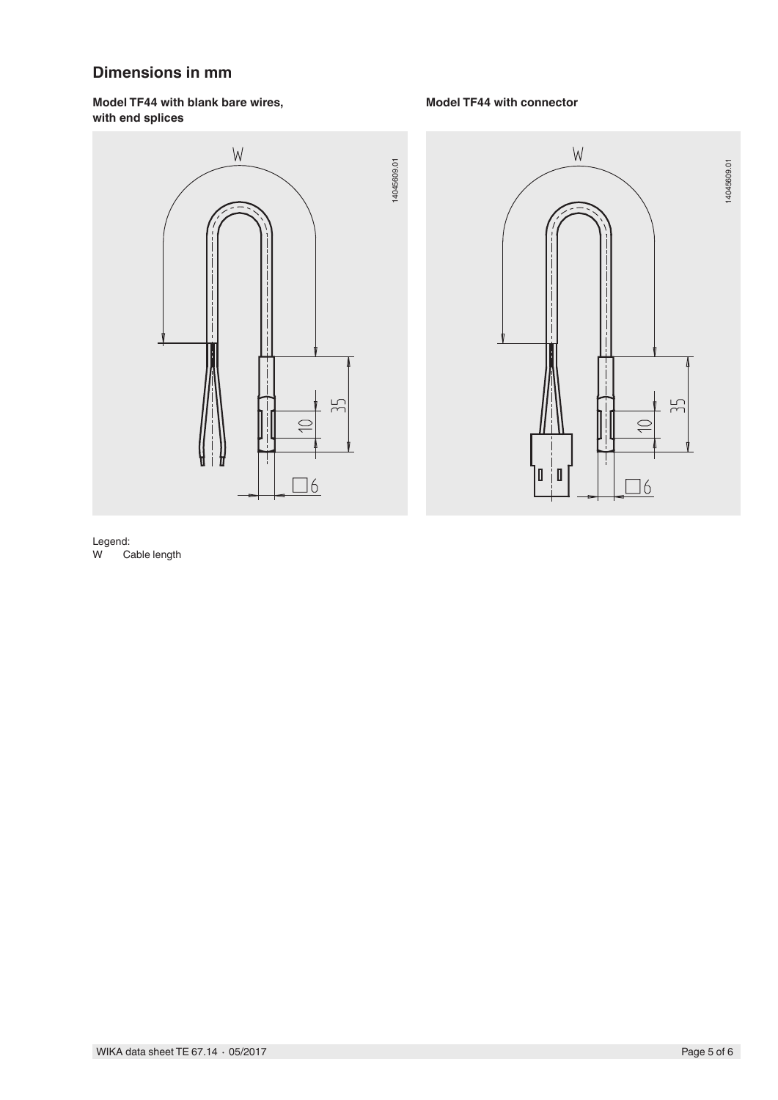# **Dimensions in mm**

### **Model TF44 with blank bare wires, with end splices**



### **Model TF44 with connector**

14045609.01



#### Legend:<br>W Ca Cable length